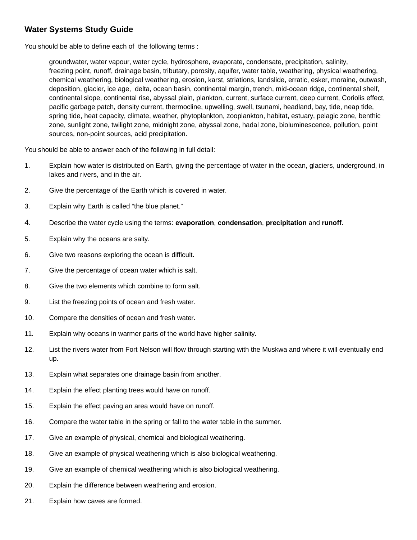## **Water Systems Study Guide**

You should be able to define each of the following terms :

groundwater, water vapour, water cycle, hydrosphere, evaporate, condensate, precipitation, salinity, freezing point, runoff, drainage basin, tributary, porosity, aquifer, water table, weathering, physical weathering, chemical weathering, biological weathering, erosion, karst, striations, landslide, erratic, esker, moraine, outwash, deposition, glacier, ice age, delta, ocean basin, continental margin, trench, mid-ocean ridge, continental shelf, continental slope, continental rise, abyssal plain, plankton, current, surface current, deep current, Coriolis effect, pacific garbage patch, density current, thermocline, upwelling, swell, tsunami, headland, bay, tide, neap tide, spring tide, heat capacity, climate, weather, phytoplankton, zooplankton, habitat, estuary, pelagic zone, benthic zone, sunlight zone, twilight zone, midnight zone, abyssal zone, hadal zone, bioluminescence, pollution, point sources, non-point sources, acid precipitation.

You should be able to answer each of the following in full detail:

- 1. Explain how water is distributed on Earth, giving the percentage of water in the ocean, glaciers, underground, in lakes and rivers, and in the air.
- 2. Give the percentage of the Earth which is covered in water.
- 3. Explain why Earth is called "the blue planet."
- 4. Describe the water cycle using the terms: **evaporation**, **condensation**, **precipitation** and **runoff**.
- 5. Explain why the oceans are salty.
- 6. Give two reasons exploring the ocean is difficult.
- 7. Give the percentage of ocean water which is salt.
- 8. Give the two elements which combine to form salt.
- 9. List the freezing points of ocean and fresh water.
- 10. Compare the densities of ocean and fresh water.
- 11. Explain why oceans in warmer parts of the world have higher salinity.
- 12. List the rivers water from Fort Nelson will flow through starting with the Muskwa and where it will eventually end up.
- 13. Explain what separates one drainage basin from another.
- 14. Explain the effect planting trees would have on runoff.
- 15. Explain the effect paving an area would have on runoff.
- 16. Compare the water table in the spring or fall to the water table in the summer.
- 17. Give an example of physical, chemical and biological weathering.
- 18. Give an example of physical weathering which is also biological weathering.
- 19. Give an example of chemical weathering which is also biological weathering.
- 20. Explain the difference between weathering and erosion.
- 21. Explain how caves are formed.